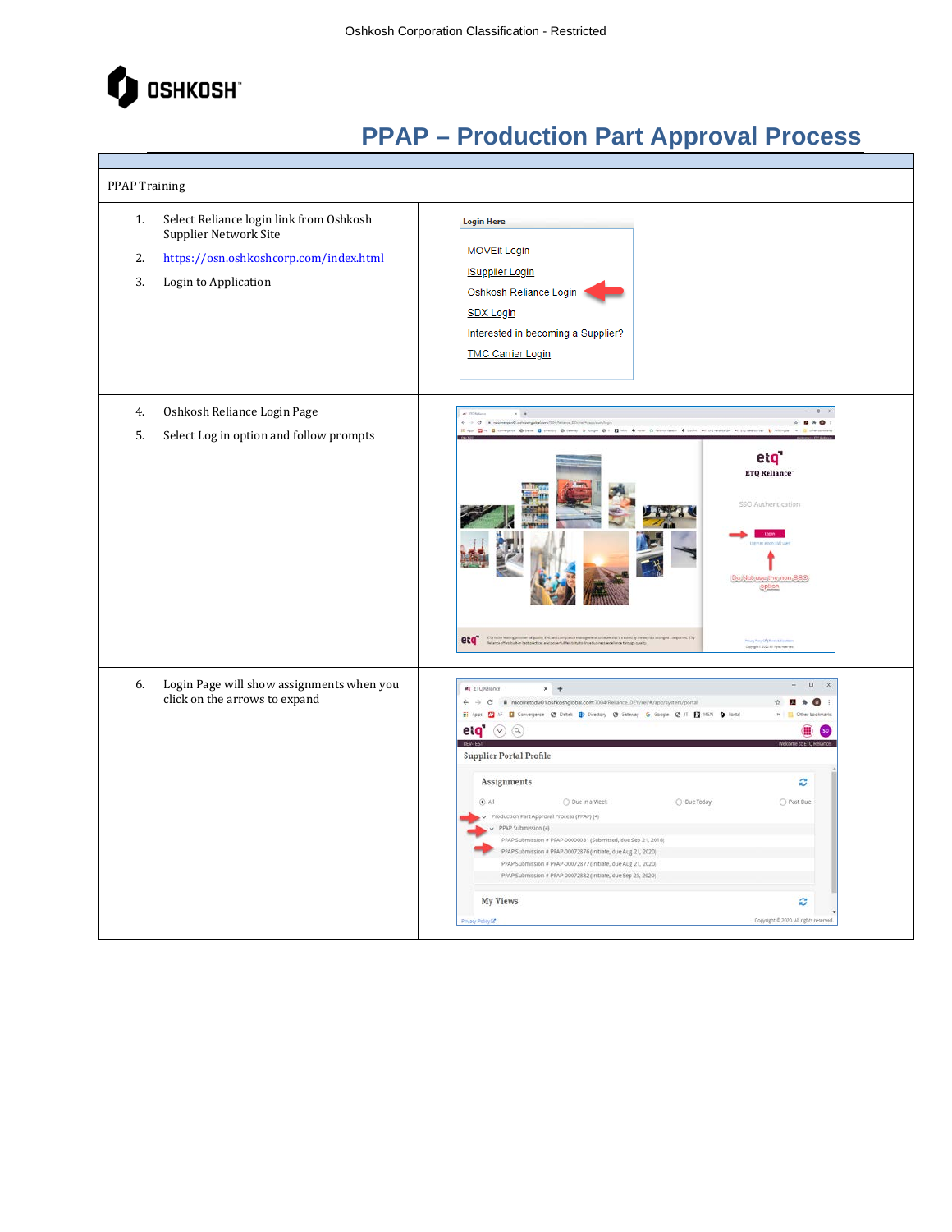

| <b>PPAP Training</b>                                                                                                                                 |  |                                                                                                                                                                                                                                                                                                                                                                                                                                                                                                                                                                                                                                                                                                                                                                                                            |
|------------------------------------------------------------------------------------------------------------------------------------------------------|--|------------------------------------------------------------------------------------------------------------------------------------------------------------------------------------------------------------------------------------------------------------------------------------------------------------------------------------------------------------------------------------------------------------------------------------------------------------------------------------------------------------------------------------------------------------------------------------------------------------------------------------------------------------------------------------------------------------------------------------------------------------------------------------------------------------|
| Select Reliance login link from Oshkosh<br>1.<br>Supplier Network Site<br>https://osn.oshkoshcorp.com/index.html<br>2.<br>3.<br>Login to Application |  | <b>Login Here</b><br><b>MOVEit Login</b><br><b>iSupplier Login</b><br>Oshkosh Reliance Login<br><b>SDX Login</b><br>Interested in becoming a Supplier?<br><b>TMC Carrier Login</b>                                                                                                                                                                                                                                                                                                                                                                                                                                                                                                                                                                                                                         |
| Oshkosh Reliance Login Page<br>4.<br>5.<br>Select Log in option and follow prompts                                                                   |  | $+$<br>O C a naconstativitizationing<br>$= 0.80$<br>Apr 23 of El Company & State @ Director & Company & Copy & IT \$3 500 & Band & Concessions & COLO at CONFerence Ch. at COLONATION & CONFERENCE<br>e:q'<br><b>ETQ Reliance</b><br>SSO Authentication<br>Do:Not-use the non-SSC<br>etq" Component and patient of the sequence of the sequence of the sequence of the sequence of the sequence of the sequence of the sequence of the sequence of the sequence of the sequence of the sequence of the sequence of<br>Privacy Promptor & Dental Action<br>Gay-glo 6.200 All Spielwares                                                                                                                                                                                                                     |
| Login Page will show assignments when you<br>6.<br>click on the arrows to expand                                                                     |  | $\Box$<br>$\times$<br>et ETQ Relance<br>$x +$<br>← -> C <sup>ii</sup> nacorretgdw01.oshkoshglobal.com:7004/Reliance_DEV/rel/#/app/system/portal<br>$\mathbf{D}$<br>基<br>$\,$<br>H Apps E AF E Convergence @ Deltek E Directory @ Gateway G Google @ IT E MSN O Portal<br>eta $\odot$ a<br><b>Supplier Portal Profile</b><br>Assignments<br>ø<br>O Past Due<br>(A, 0)<br>O Due in a Week<br>O Due Today<br>Production Part Approval Process (PPAP) (4)<br>PPAP Submission (4)<br>PPAP Submission # PPAP-00000031 (Submitted, due Sep 21, 2018)<br>PPAP Submission # PPAP-00072876 (Initiate, due Aug 21, 2020)<br>PPAP Submission # PPAP-00072877 (Initiate, due Aug 21, 2020)<br>PPAP Submission # PPAP-00072882 (Initiate, due Sep 25, 2020)<br><b>My Views</b><br>c<br>Copyright @ 2020, All rights rese |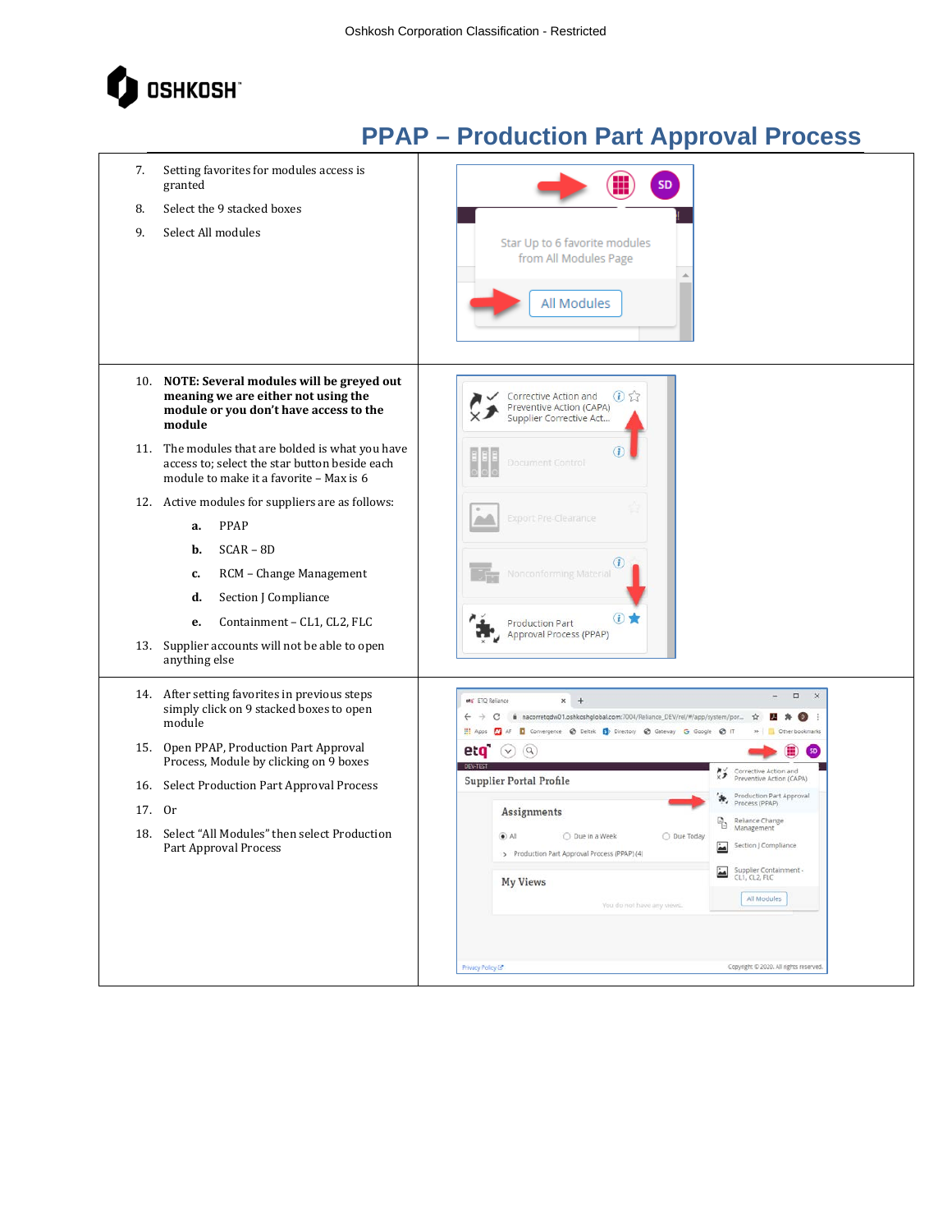

| 7.<br>8.<br>9. | Setting favorites for modules access is<br>granted<br>Select the 9 stacked boxes<br>Select All modules                                                                                                                                                     | <b>SD</b><br>Star Up to 6 favorite modules<br>from All Modules Page<br>All Modules                                                                                                                 |                                                                    |
|----------------|------------------------------------------------------------------------------------------------------------------------------------------------------------------------------------------------------------------------------------------------------------|----------------------------------------------------------------------------------------------------------------------------------------------------------------------------------------------------|--------------------------------------------------------------------|
|                | 10. NOTE: Several modules will be greyed out<br>meaning we are either not using the<br>module or you don't have access to the<br>module                                                                                                                    | $\bigcirc$<br>Corrective Action and<br>Preventive Action (CAPA)<br>Supplier Corrective Act                                                                                                         |                                                                    |
|                | 11. The modules that are bolded is what you have<br>access to; select the star button beside each<br>module to make it a favorite - Max is 6                                                                                                               | <b>Document Control</b>                                                                                                                                                                            |                                                                    |
|                | 12. Active modules for suppliers are as follows:<br>PPAP<br>a.<br>$SCAR - BD$<br>b.<br>RCM - Change Management<br>c.<br>d.<br>Section J Compliance<br>Containment - CL1, CL2, FLC<br>е.<br>13. Supplier accounts will not be able to open<br>anything else | <b>Export Pre-Clearance</b><br>Nonconforming Material<br>(i)<br><b>Production Part</b><br>Approval Process (PPAP)                                                                                  |                                                                    |
|                | 14. After setting favorites in previous steps<br>simply click on 9 stacked boxes to open<br>module                                                                                                                                                         | $x +$<br>ets' ETQ Reliance<br>@ nacorretqdw01.oshkoshglobal.com:7004/Reliance_DEV/rel/#/app/system/por<br><b>AS</b><br>AF I Convergence @ Deltek B Directory @ Gateway G Google<br><b>III</b> Apps | $\Box$<br>$\times$<br>$\Theta$ IT<br>Other bookmarks               |
|                | 15. Open PPAP, Production Part Approval<br>Process, Module by clicking on 9 boxes                                                                                                                                                                          | eta <sup>-</sup><br>$\left( \alpha \right)$<br>$(\vee)$                                                                                                                                            |                                                                    |
|                | 16. Select Production Part Approval Process                                                                                                                                                                                                                | Supplier Portal Profile                                                                                                                                                                            | Corrective Action and<br>Preventive Action (CAPA)                  |
| 17. Or         |                                                                                                                                                                                                                                                            | Assignments                                                                                                                                                                                        | Production Part Approval<br>Process (PPAP)                         |
| 18.            | Select "All Modules" then select Production<br>Part Approval Process                                                                                                                                                                                       | $\odot$ All<br>○ Due in a Week<br>O Due Today<br>> Production Part Approval Process (PPAP) (4)                                                                                                     | Reliance Change<br>Management<br>ħ<br>Section J Compliance         |
|                |                                                                                                                                                                                                                                                            | <b>My Views</b><br>You do not have any views.                                                                                                                                                      | Supplier Containment -<br>CL1, CL2, FLC<br>$\Delta$<br>All Modules |
|                |                                                                                                                                                                                                                                                            | Privacy Policy (3"                                                                                                                                                                                 | Copyright © 2020. All rights reserved.                             |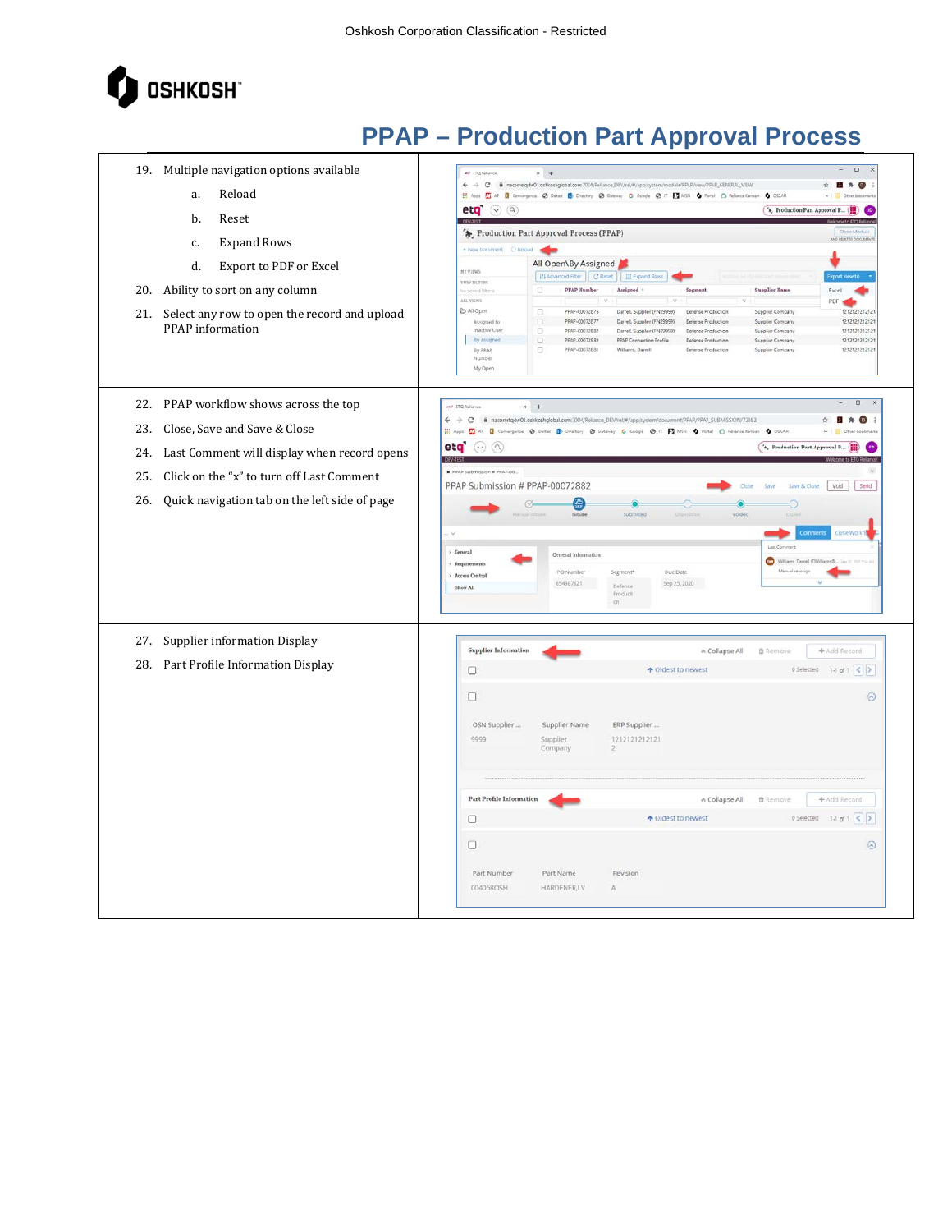

| 19. Multiple navigation options available                                                                                                                                                         | $\Box$<br>÷<br>et EQ feliator<br>$x +$                                                                                                                                                                                                                                                                                                                                                                                                                                                                                           |
|---------------------------------------------------------------------------------------------------------------------------------------------------------------------------------------------------|----------------------------------------------------------------------------------------------------------------------------------------------------------------------------------------------------------------------------------------------------------------------------------------------------------------------------------------------------------------------------------------------------------------------------------------------------------------------------------------------------------------------------------|
| Reload<br>a.                                                                                                                                                                                      | ← -> C · @ racometgdw01.oshkoshglobal.com/7001/Reliance_DEV/rel/#/app/system/module/FPAP/view/PPAP_CENERAL_VIEW<br><br>÷.<br>H Apps ( ) AF ( ) Convergence ( ) Datab ( ) Drastory ( ) Calerany G Copyle ( ) T   1   1001 ( ) Partial ( ) Relations Factures ( ) DECAR                                                                                                                                                                                                                                                            |
| et q'<br>b.<br>Reset                                                                                                                                                                              | $\odot$ (9)<br>'s, Froduction Part Approval P (<br>(so)                                                                                                                                                                                                                                                                                                                                                                                                                                                                          |
| <b>Expand Rows</b><br>c.                                                                                                                                                                          | ** Production Part Approval Process (PPAP)<br>Close Module<br><b>MO BELATED DOCUMEN</b><br>+ New Document: C Reload                                                                                                                                                                                                                                                                                                                                                                                                              |
| <b>Export to PDF or Excel</b><br>d.<br><b>HYVINS</b><br><b>VIEW FUTCHS</b><br>Ability to sort on any column<br>20.<br>ALL VIEWS<br>& All Open<br>21. Select any row to open the record and upload | All Open\By Assigned<br>El Advanced Filter   C' Reset   III Expand Rows<br>$\Box$<br><b>PRAP Number</b><br>Assigned :<br><b>Supplier Name</b><br>io saved filters<br>Segment<br>Excel<br>PDF <<br>$\Box$<br>PPAP-CO072876<br>1212121212121<br>Darrell, Supplier (PN29999)<br>Defense Production<br>Supplier Company                                                                                                                                                                                                              |
| PPAP information                                                                                                                                                                                  | $\Box$<br>PPAP-C0072877<br>Darrell, Supplier (FN29999)<br>Deferse Production<br>1212121212121<br>Assigned to<br>Supplier Company<br>o<br>Inactive User<br>PPAP-00072882<br>121212121212<br>Darrell, Supplier (PN20000)<br>Defense Production<br>Supplier Company<br>By Assigned<br>O<br>PPAP-CO072882<br>1212121212121<br>PPAP Connection Profile<br>Defense Production<br>Supplier Company<br>PPAP-CO072831<br>1212121212121<br>By PRAP<br>o<br>Williams, Damell<br>Defense Production<br>Supplier Company<br>Number<br>My Open |
| 22. PPAP workflow shows across the top<br>est ETQ Reliance                                                                                                                                        | $x +$                                                                                                                                                                                                                                                                                                                                                                                                                                                                                                                            |
| Close, Save and Save & Close<br>23.                                                                                                                                                               | ← -> C · ii nacometqdw01.cshkoshglebal.com/1004/Reliance_DEV/rel/#/app/system/document/PPAP/PPAP_SUBMISSION/72882<br>2.0<br>÷<br>75<br>H Appt (C) AF (Convergence @ Deitek (D Directory @ Gateway G Google @ IT   MSV O Portal (C) Reliance Kenban O OSCAR                                                                                                                                                                                                                                                                       |
| etg <sup>-</sup><br>Last Comment will display when record opens<br>24.                                                                                                                            | $(\vee)$ $\alpha$<br>'*, Production Part Approval P<br>Œ                                                                                                                                                                                                                                                                                                                                                                                                                                                                         |
| Click on the "x" to turn off Last Comment<br>25.                                                                                                                                                  | <b>X</b> FFAF Submission # FFAF-00.<br>PPAP Submission # PPAP-00072882<br>Void<br>Send<br>Save & Clos                                                                                                                                                                                                                                                                                                                                                                                                                            |
| Quick navigation tab on the left side of page<br>26.                                                                                                                                              | 箒<br>ø                                                                                                                                                                                                                                                                                                                                                                                                                                                                                                                           |
| > General<br>> Requiremen<br>> Arress Control<br>Show All                                                                                                                                         | Last Comment<br>General Information<br>$\bullet$<br>Williams, Darrell (DWIN)<br>PO Number<br>Due Date<br>Manual reaction<br>Segment <sup>®</sup><br>Sep 25, 2020<br>654987321<br>Defense<br>Producti<br>$\sin$                                                                                                                                                                                                                                                                                                                   |
| 27. Supplier information Display                                                                                                                                                                  | <b>Supplier Information</b><br>+ Add Record<br>A Collapse All                                                                                                                                                                                                                                                                                                                                                                                                                                                                    |
| Part Profile Information Display<br>28.<br>o                                                                                                                                                      | <b>O</b> Remove<br>$0$ Selected $1-1$ of $1 \leqslant 2$<br>↑ Oldest to newest                                                                                                                                                                                                                                                                                                                                                                                                                                                   |
| 0                                                                                                                                                                                                 | $\odot$<br>OSN Supplier<br>ERP Supplier                                                                                                                                                                                                                                                                                                                                                                                                                                                                                          |
|                                                                                                                                                                                                   | Supplier Name<br>1212121212121<br>9999<br>Supplier<br>Company<br>2                                                                                                                                                                                                                                                                                                                                                                                                                                                               |
|                                                                                                                                                                                                   | Part Profile Information<br>+ Add Record<br>* Collapse All<br><b>自 Remove</b>                                                                                                                                                                                                                                                                                                                                                                                                                                                    |
| □                                                                                                                                                                                                 | $0$ Selected $1.1$ of $1 \leq 2$<br>↑ Oldest to newest                                                                                                                                                                                                                                                                                                                                                                                                                                                                           |
| 0                                                                                                                                                                                                 | $\odot$                                                                                                                                                                                                                                                                                                                                                                                                                                                                                                                          |
|                                                                                                                                                                                                   | Part Number<br>Part Name<br>Revision<br>004058OSH<br>HARDENER,LV<br>$\Lambda$                                                                                                                                                                                                                                                                                                                                                                                                                                                    |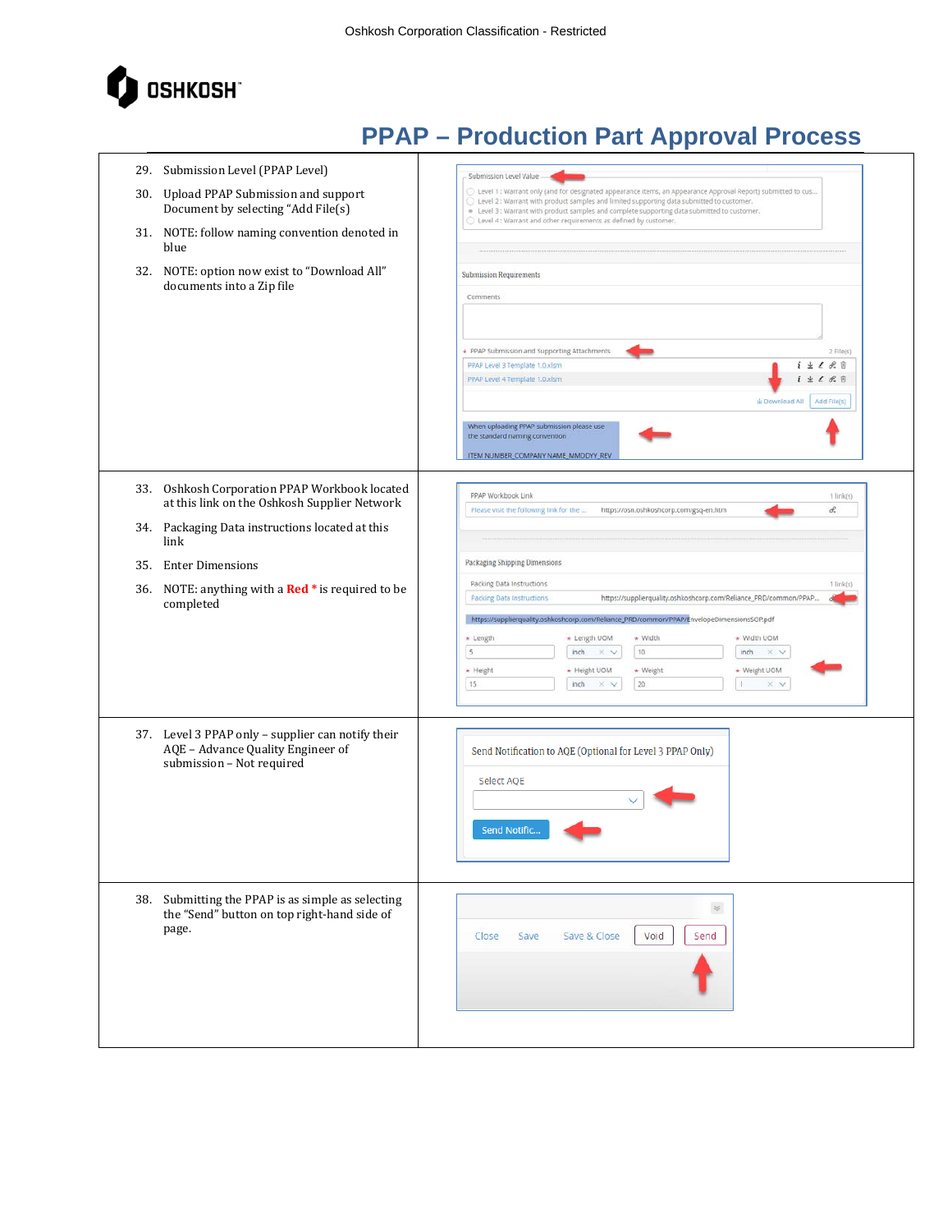

|     | 29. Submission Level (PPAP Level)                                                                                   | Submission Level Value                                                                                                                                                                                                                                                                                                                                                                                                                                                                 |
|-----|---------------------------------------------------------------------------------------------------------------------|----------------------------------------------------------------------------------------------------------------------------------------------------------------------------------------------------------------------------------------------------------------------------------------------------------------------------------------------------------------------------------------------------------------------------------------------------------------------------------------|
|     | 30. Upload PPAP Submission and support<br>Document by selecting "Add File(s)                                        | $\odot$ Level 1 : Warrant only (and for designated appearance items, an Appearance Approval Report) submitted to cus<br>Level 2: Warrant with product samples and limited supporting data submitted to customer.<br>. Level 3: Warrant with product samples and complete supporting data submitted to customer.                                                                                                                                                                        |
|     | 31. NOTE: follow naming convention denoted in<br>blue                                                               | Level 4 : Warrant and other requirements as defined by customer.                                                                                                                                                                                                                                                                                                                                                                                                                       |
|     | 32. NOTE: option now exist to "Download All"<br>documents into a Zip file                                           | <b>Submission Requirements</b><br>Comments                                                                                                                                                                                                                                                                                                                                                                                                                                             |
|     |                                                                                                                     | PPAP Submission and Supporting Attachments<br>2 File(s)                                                                                                                                                                                                                                                                                                                                                                                                                                |
|     |                                                                                                                     | $i \pm \ell$ R $ij$<br>PPAP Level 3 Template 1.0.xlsm                                                                                                                                                                                                                                                                                                                                                                                                                                  |
|     |                                                                                                                     | <b>生 え 沢 目</b><br>PPAP Level 4 Template 1.0.xlsm                                                                                                                                                                                                                                                                                                                                                                                                                                       |
|     |                                                                                                                     | Add File(s)<br>± Download All                                                                                                                                                                                                                                                                                                                                                                                                                                                          |
|     |                                                                                                                     | When uploading PPAP submission please use<br>the standard naming convention<br>ITEM NUMBER_COMPANY NAME_MMDDYY_REV                                                                                                                                                                                                                                                                                                                                                                     |
|     |                                                                                                                     |                                                                                                                                                                                                                                                                                                                                                                                                                                                                                        |
|     | 33. Oshkosh Corporation PPAP Workbook located<br>at this link on the Oshkosh Supplier Network                       | PPAP Workbook Link<br>$1$ link(s)<br>d.<br>Please visit the following link for the<br>https://osn.oshkoshcorp.com/gsq-en.htm                                                                                                                                                                                                                                                                                                                                                           |
|     | 34. Packaging Data instructions located at this<br>link                                                             |                                                                                                                                                                                                                                                                                                                                                                                                                                                                                        |
| 35. | <b>Enter Dimensions</b>                                                                                             | Packaging Shipping Dimensions                                                                                                                                                                                                                                                                                                                                                                                                                                                          |
|     | 36. NOTE: anything with a Red * is required to be<br>completed                                                      | Packing Data Instructions<br>$1$ link(s)<br><b>Packing Data Instructions</b><br>https://supplierquality.oshkoshcorp.com/Reliance_PRD/common/PPAP<br>https://supplierquality.oshkoshcorp.com/Reliance_PRD/common/PPAP/EnvelopeDimensionsSOP.pdf<br>* Width<br>* Width UOM<br>* Length<br>* Length UOM<br>$\sf S$<br>10<br>inch<br>X V<br>inch<br>$\times$ $\times$<br>* Height<br>+ Height UOM<br>* Weight<br>★ Weight UOM<br>15<br>20<br>inch<br>л.<br>$\times$ v<br>$\times$ $\times$ |
|     | 37. Level 3 PPAP only - supplier can notify their<br>AQE - Advance Quality Engineer of<br>submission - Not required | Send Notification to AQE (Optional for Level 3 PPAP Only)<br>Select AQE<br>Send Notific.                                                                                                                                                                                                                                                                                                                                                                                               |
|     | 38. Submitting the PPAP is as simple as selecting<br>the "Send" button on top right-hand side of<br>page.           | $\preccurlyeq$<br>Void<br>Save & Close<br>Send<br>Close<br>Save                                                                                                                                                                                                                                                                                                                                                                                                                        |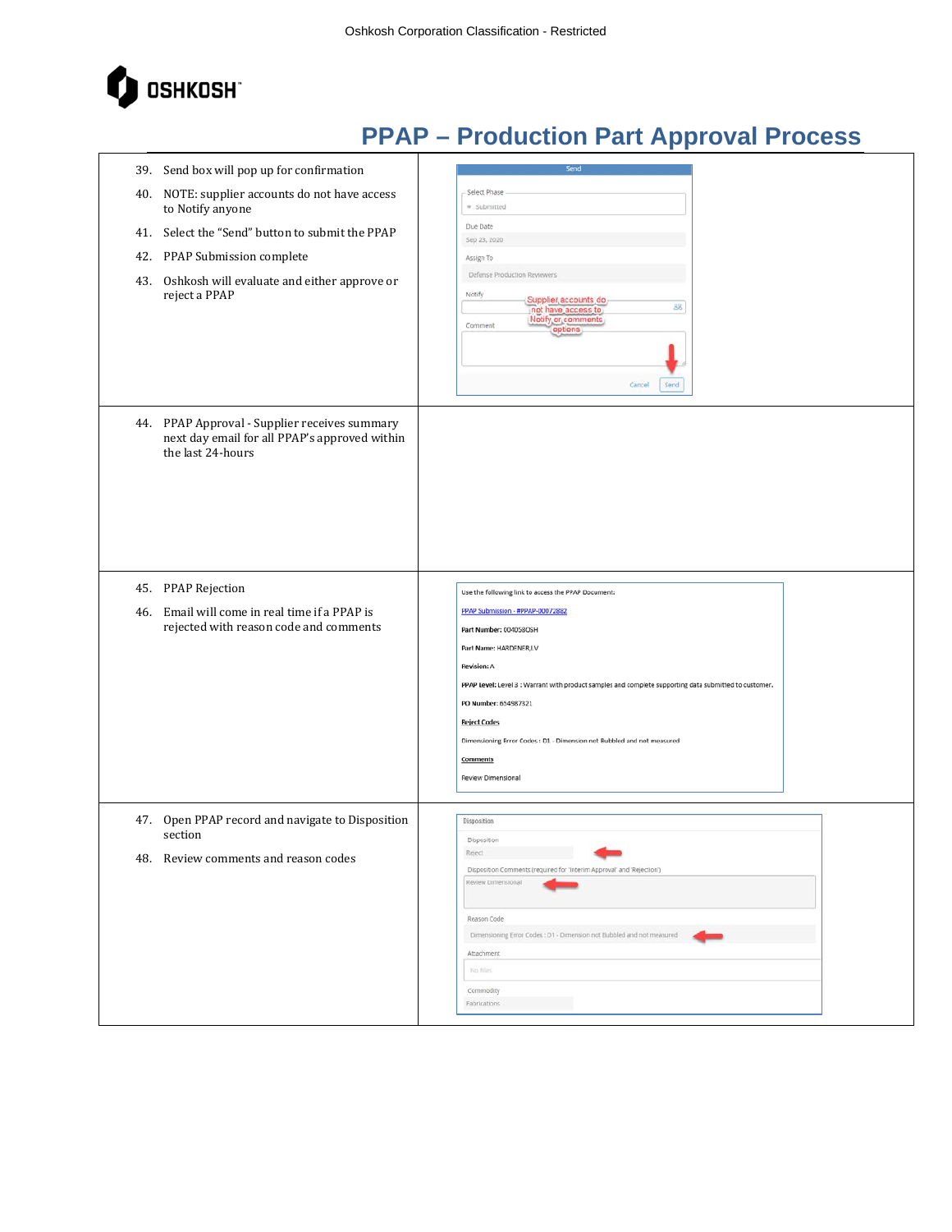

| 39. Send box will pop up for confirmation<br>40. NOTE: supplier accounts do not have access<br>to Notify anyone<br>41. Select the "Send" button to submit the PPAP<br>PPAP Submission complete<br>42.<br>Oshkosh will evaluate and either approve or<br>43.<br>reject a PPAP | Send<br>Select Phase<br>· Submitted<br>Due Date<br>Sep 23, 2020<br>Assign To<br>Defense Production Reviewers<br>Notify<br>Supplier accounts do<br>88<br>not have access to<br>Notify or comments<br>Comment<br>options                                                                                                                                                                                           |
|------------------------------------------------------------------------------------------------------------------------------------------------------------------------------------------------------------------------------------------------------------------------------|------------------------------------------------------------------------------------------------------------------------------------------------------------------------------------------------------------------------------------------------------------------------------------------------------------------------------------------------------------------------------------------------------------------|
| 44. PPAP Approval - Supplier receives summary<br>next day email for all PPAP's approved within<br>the last 24-hours                                                                                                                                                          | Cancel<br>Send                                                                                                                                                                                                                                                                                                                                                                                                   |
| 45. PPAP Rejection<br>46. Email will come in real time if a PPAP is<br>rejected with reason code and comments                                                                                                                                                                | Use the following link to access the PPAP Document:<br>PPAP Submission - #PPAP-00072882<br>Part Number: 0040580SH<br>Part Name: HARDENER,LV<br><b>Revision: A</b><br>PPAP Level: Level 3 : Warrant with product samples and complete supporting data submitted to customer.<br>PO Number: 654987321<br><b>Reject Codes</b><br>Dimensioning Error Codes : D1 - Dimension not Bubbled and not measured<br>Comments |
| 47. Open PPAP record and navigate to Disposition<br>section<br>48. Review comments and reason codes                                                                                                                                                                          | Review Dimensional<br>Disposition<br>Disposition<br>Reject<br>Disposition Comments (required for 'Interim Approval' and 'Rejection')<br>Review Dimensional<br>Reason Code<br>Dimensioning Error Codes : D1 - Dimension not Bubbled and not measured<br>Attachment<br>No Files<br>Commodity<br>Fabrications                                                                                                       |